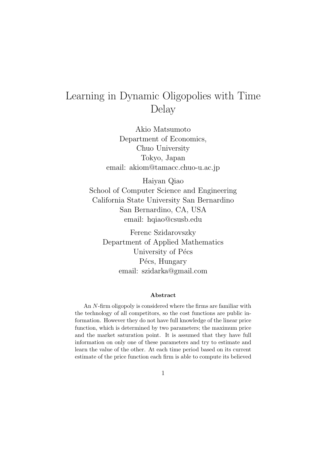# Learning in Dynamic Oligopolies with Time Delay

Akio Matsumoto Department of Economics, Chuo University Tokyo, Japan email: akiom@tamacc.chuo-u.ac.jp

Haiyan Qiao School of Computer Science and Engineering California State University San Bernardino San Bernardino, CA, USA email: hqiao@csusb.edu

Ferenc Szidarovszky Department of Applied Mathematics University of Pécs Pécs, Hungary email: szidarka@gmail.com

#### Abstract

An N-firm oligopoly is considered where the firms are familiar with the technology of all competitors, so the cost functions are public information. However they do not have full knowledge of the linear price function, which is determined by two parameters; the maximum price and the market saturation point. It is assumed that they have full information on only one of these parameters and try to estimate and learn the value of the other. At each time period based on its current estimate of the price function each firm is able to compute its believed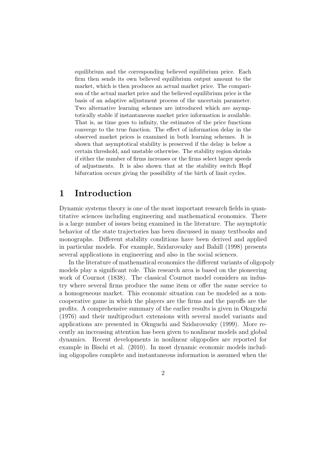equilibrium and the corresponding believed equilibrium price. Each firm then sends its own believed equilibrium output amount to the market, which is then produces an actual market price. The comparison of the actual market price and the believed equilibrium price is the basis of an adaptive adjustment process of the uncertain parameter. Two alternative learning schemes are introduced which are asymptotically stable if instantaneous market price information is available. That is, as time goes to infinity, the estimates of the price functions converge to the true function. The effect of information delay in the observed market prices is examined in both learning schemes. It is shown that asymptotical stability is preserved if the delay is below a certain threshold, and unstable otherwise. The stability region shrinks if either the number of firms increases or the firms select larger speeds of adjustments. It is also shown that at the stability switch Hopf bifurcation occurs giving the possibility of the birth of limit cycles.

#### 1 Introduction

Dynamic systems theory is one of the most important research fields in quantitative sciences including engineering and mathematical economics. There is a large number of issues being examined in the literature. The asymptotic behavior of the state trajectories has been discussed in many textbooks and monographs. Different stability conditions have been derived and applied in particular models. For example, Szidarovszky and Bahill (1998) presents several applications in engineering and also in the social sciences.

In the literature of mathematical economics the different variants of oligopoly models play a significant role. This research area is based on the pioneering work of Cournot (1838). The classical Cournot model considers an industry where several firms produce the same item or offer the same service to a homogeneous market. This economic situation can be modeled as a noncooperative game in which the players are the firms and the payoffs are the profits. A comprehensive summary of the earlier results is given in Okuguchi (1976) and their multiproduct extensions with several model variants and applications are presented in Okuguchi and Szidarovszky (1999). More recently an increasing attention has been given to nonlinear models and global dynamics. Recent developments in nonlinear oligopolies are reported for example in Bischi et al. (2010). In most dynamic economic models including oligopolies complete and instantaneous information is assumed when the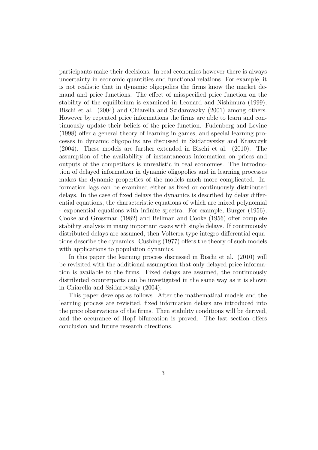participants make their decisions. In real economies however there is always uncertainty in economic quantities and functional relations. For example, it is not realistic that in dynamic oligopolies the firms know the market demand and price functions. The effect of misspecified price function on the stability of the equilibrium is examined in Leonard and Nishimura (1999), Bischi et al. (2004) and Chiarella and Szidarovszky (2001) among others. However by repeated price informations the firms are able to learn and continuously update their beliefs of the price function. Fudenberg and Levine (1998) offer a general theory of learning in games, and special learning processes in dynamic oligopolies are discussed in Szidarovszky and Krawczyk (2004). These models are further extended in Bischi et al. (2010). The assumption of the availability of instantaneous information on prices and outputs of the competitors is unrealistic in real economies. The introduction of delayed information in dynamic oligopolies and in learning processes makes the dynamic properties of the models much more complicated. Information lags can be examined either as fixed or continuously distributed delays. In the case of fixed delays the dynamics is described by delay differential equations, the characteristic equations of which are mixed polynomial - exponential equations with infinite spectra. For example, Burger (1956), Cooke and Grossman (1982) and Bellman and Cooke (1956) offer complete stability analysis in many important cases with single delays. If continuously distributed delays are assumed, then Volterra-type integro-differential equations describe the dynamics. Cushing (1977) offers the theory of such models with applications to population dynamics.

In this paper the learning process discussed in Bischi et al. (2010) will be revisited with the additional assumption that only delayed price information is available to the firms. Fixed delays are assumed, the continuously distributed counterparts can be investigated in the same way as it is shown in Chiarella and Szidarovszky (2004).

This paper develops as follows. After the mathematical models and the learning process are revisited, fixed information delays are introduced into the price observations of the firms. Then stability conditions will be derived, and the occurance of Hopf bifurcation is proved. The last section offers conclusion and future research directions.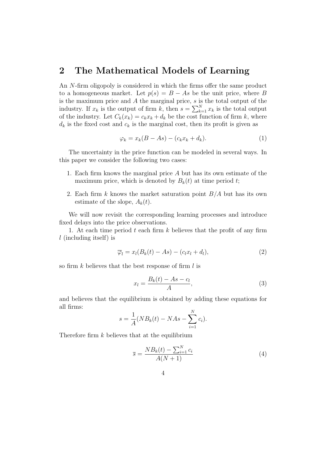#### 2 The Mathematical Models of Learning

An N-firm oligopoly is considered in which the firms offer the same product to a homogeneous market. Let  $p(s) = B - As$  be the unit price, where B is the maximum price and  $A$  the marginal price,  $s$  is the total output of the industry. If  $x_k$  is the output of firm  $k$ , then  $s = \sum_{k=1}^{N} x_k$  is the total output of the industry. Let  $C_k(x_k) = c_k x_k + d_k$  be the cost function of firm k, where  $d_k$  is the fixed cost and  $c_k$  is the marginal cost, then its profit is given as

$$
\varphi_k = x_k(B - As) - (c_k x_k + d_k). \tag{1}
$$

The uncertainty in the price function can be modeled in several ways. In this paper we consider the following two cases:

- 1. Each firm knows the marginal price A but has its own estimate of the maximum price, which is denoted by  $B_k(t)$  at time period t;
- 2. Each firm k knows the market saturation point  $B/A$  but has its own estimate of the slope,  $A_k(t)$ .

We will now revisit the corresponding learning processes and introduce fixed delays into the price observations.

1. At each time period  $t$  each firm  $k$  believes that the profit of any firm  $l$  (including itself) is

$$
\overline{\varphi}_l = x_l (B_k(t) - As) - (c_l x_l + d_l), \qquad (2)
$$

so firm  $k$  believes that the best response of firm  $l$  is

$$
x_l = \frac{B_k(t) - As - c_l}{A},\tag{3}
$$

and believes that the equilibrium is obtained by adding these equations for all firms:

$$
s = \frac{1}{A}(NB_k(t) - NAs - \sum_{i=1}^{N} c_i).
$$

Therefore firm  $k$  believes that at the equilibrium

$$
\overline{s} = \frac{N B_k(t) - \sum_{i=1}^{N} c_i}{A(N+1)}
$$
(4)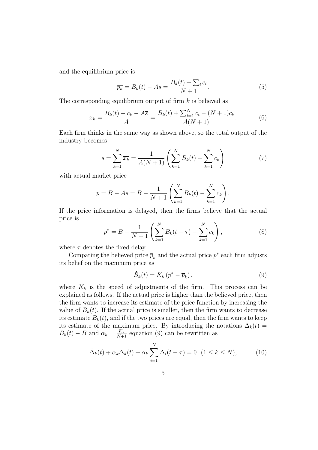and the equilibrium price is

$$
\overline{p_k} = B_k(t) - As = \frac{B_k(t) + \sum_i c_i}{N+1}.
$$
\n(5)

The corresponding equilibrium output of firm  $k$  is believed as

$$
\overline{x_k} = \frac{B_k(t) - c_k - A\overline{s}}{A} = \frac{B_k(t) + \sum_{i=1}^{N} c_i - (N+1)c_k}{A(N+1)}.
$$
(6)

Each firm thinks in the same way as shown above, so the total output of the industry becomes

$$
s = \sum_{k=1}^{N} \overline{x_k} = \frac{1}{A(N+1)} \left( \sum_{k=1}^{N} B_k(t) - \sum_{k=1}^{N} c_k \right)
$$
 (7)

with actual market price

$$
p = B - As = B - \frac{1}{N+1} \left( \sum_{k=1}^{N} B_k(t) - \sum_{k=1}^{N} c_k \right).
$$

If the price information is delayed, then the firms believe that the actual price is

$$
p^* = B - \frac{1}{N+1} \left( \sum_{k=1}^N B_k(t-\tau) - \sum_{k=1}^N c_k \right),\tag{8}
$$

where  $\tau$  denotes the fixed delay.

Comparing the believed price  $\bar{p}_k$  and the actual price  $p^*$  each firm adjusts its belief on the maximum price as

$$
\dot{B}_k(t) = K_k \left( p^* - \overline{p}_k \right),\tag{9}
$$

where  $K_k$  is the speed of adjustments of the firm. This process can be explained as follows. If the actual price is higher than the believed price, then the firm wants to increase its estimate of the price function by increasing the value of  $B_k(t)$ . If the actual price is smaller, then the firm wants to decrease its estimate  $B_k(t)$ , and if the two prices are equal, then the firm wants to keep its estimate of the maximum price. By introducing the notations  $\Delta_k(t)$  =  $B_k(t) - B$  and  $\alpha_k = \frac{K_k}{N+1}$  equation (9) can be rewritten as

$$
\dot{\Delta}_k(t) + \alpha_k \Delta_k(t) + \alpha_k \sum_{i=1}^N \Delta_i(t - \tau) = 0 \quad (1 \le k \le N), \tag{10}
$$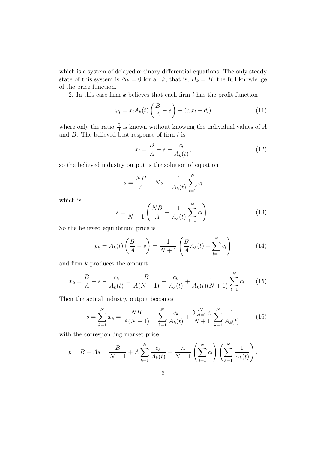which is a system of delayed ordinary differential equations. The only steady state of this system is  $\overrightarrow{\Delta}_k = 0$  for all k, that is,  $\overrightarrow{B}_k = B$ , the full knowledge of the price function.

2. In this case firm  $k$  believes that each firm  $l$  has the profit function

$$
\overline{\varphi}_l = x_l A_k(t) \left(\frac{B}{A} - s\right) - (c_l x_l + d_l) \tag{11}
$$

where only the ratio  $\frac{B}{A}$  is known without knowing the individual values of A and  $B$ . The believed best response of firm  $l$  is

$$
x_l = \frac{B}{A} - s - \frac{c_l}{A_k(t)},\tag{12}
$$

so the believed industry output is the solution of equation

$$
s = \frac{NB}{A} - Ns - \frac{1}{A_k(t)} \sum_{l=1}^{N} c_l
$$

which is

$$
\overline{s} = \frac{1}{N+1} \left( \frac{NB}{A} - \frac{1}{A_k(t)} \sum_{l=1}^{N} c_l \right). \tag{13}
$$

So the believed equilibrium price is

$$
\overline{p}_k = A_k(t) \left(\frac{B}{A} - \overline{s}\right) = \frac{1}{N+1} \left(\frac{B}{A} A_k(t) + \sum_{l=1}^N c_l\right) \tag{14}
$$

and firm k produces the amount

$$
\overline{x}_k = \frac{B}{A} - \overline{s} - \frac{c_k}{A_k(t)} = \frac{B}{A(N+1)} - \frac{c_k}{A_k(t)} + \frac{1}{A_k(t)(N+1)} \sum_{l=1}^{N} c_l.
$$
 (15)

Then the actual industry output becomes

$$
s = \sum_{k=1}^{N} \overline{x}_k = \frac{NB}{A(N+1)} - \sum_{k=1}^{N} \frac{c_k}{A_k(t)} + \frac{\sum_{l=1}^{N} c_l}{N+1} \sum_{k=1}^{N} \frac{1}{A_k(t)}
$$
(16)

with the corresponding market price

$$
p = B - As = \frac{B}{N+1} + A \sum_{k=1}^{N} \frac{c_k}{A_k(t)} - \frac{A}{N+1} \left( \sum_{l=1}^{N} c_l \right) \left( \sum_{k=1}^{N} \frac{1}{A_k(t)} \right).
$$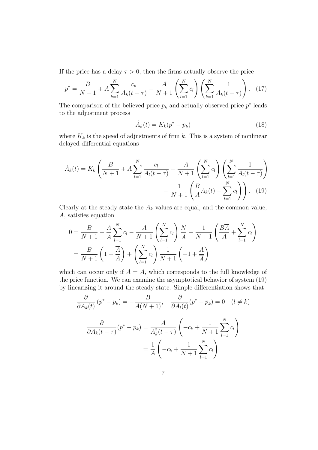If the price has a delay  $\tau > 0$ , then the firms actually observe the price

$$
p^* = \frac{B}{N+1} + A \sum_{k=1}^N \frac{c_k}{A_k(t-\tau)} - \frac{A}{N+1} \left( \sum_{l=1}^N c_l \right) \left( \sum_{k=1}^N \frac{1}{A_k(t-\tau)} \right). \tag{17}
$$

The comparison of the believed price  $\bar{p}_k$  and actually observed price  $p^*$  leads to the adjustment process

$$
\dot{A}_k(t) = K_k(p^* - \overline{p}_k)
$$
\n(18)

where  $K_k$  is the speed of adjustments of firm k. This is a system of nonlinear delayed differential equations

$$
\dot{A}_k(t) = K_k \left( \frac{B}{N+1} + A \sum_{l=1}^N \frac{c_l}{A_l(t-\tau)} - \frac{A}{N+1} \left( \sum_{l=1}^N c_l \right) \left( \sum_{l=1}^N \frac{1}{A_l(t-\tau)} \right) - \frac{1}{N+1} \left( \frac{B}{A} A_k(t) + \sum_{l=1}^N c_l \right) \right). \tag{19}
$$

Clearly at the steady state the  $A_k$  values are equal, and the common value,  $\overline{A}$ , satisfies equation

$$
0 = \frac{B}{N+1} + \frac{A}{A} \sum_{l=1}^{N} c_l - \frac{A}{N+1} \left( \sum_{l=1}^{N} c_l \right) \frac{N}{A} - \frac{1}{N+1} \left( \frac{B\overline{A}}{A} + \sum_{l=1}^{N} c_l \right)
$$

$$
= \frac{B}{N+1} \left( 1 - \frac{\overline{A}}{A} \right) + \left( \sum_{l=1}^{N} c_l \right) \frac{1}{N+1} \left( -1 + \frac{A}{\overline{A}} \right)
$$

which can occur only if  $\overline{A} = A$ , which corresponds to the full knowledge of the price function. We can examine the asymptotical behavior of system (19) by linearizing it around the steady state. Simple differentiation shows that

$$
\frac{\partial}{\partial A_k(t)} (p^* - \overline{p}_k) = -\frac{B}{A(N+1)}, \quad \frac{\partial}{\partial A_l(t)} (p^* - \overline{p}_k) = 0 \quad (l \neq k)
$$

$$
\frac{\partial}{\partial A_k(t - \tau)} (p^* - p_k) = \frac{A}{A_k^2(t - \tau)} \left( -c_k + \frac{1}{N+1} \sum_{l=1}^N c_l \right)
$$

$$
= \frac{1}{A} \left( -c_k + \frac{1}{N+1} \sum_{l=1}^N c_l \right)
$$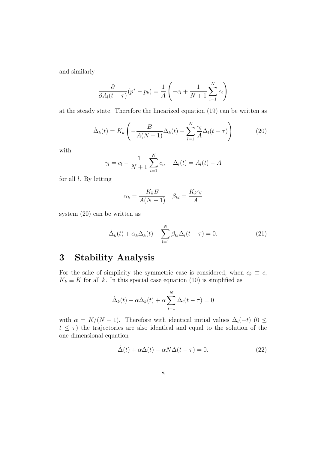and similarly

$$
\frac{\partial}{\partial A_l(t-\tau)}(p^*-p_k) = \frac{1}{A} \left(-c_l + \frac{1}{N+1} \sum_{i=1}^N c_i\right)
$$

at the steady state. Therefore the linearized equation (19) can be written as

$$
\dot{\Delta}_k(t) = K_k \left( -\frac{B}{A(N+1)} \Delta_k(t) - \sum_{l=1}^N \frac{\gamma_l}{A} \Delta_l(t - \tau) \right) \tag{20}
$$

with

$$
\gamma_l = c_l - \frac{1}{N+1} \sum_{i=1}^N c_i, \quad \Delta_l(t) = A_l(t) - A
$$

for all  $l$ . By letting

$$
\alpha_k = \frac{K_k B}{A(N+1)} \quad \beta_{kl} = \frac{K_k \gamma_l}{A}
$$

system (20) can be written as

$$
\dot{\Delta}_k(t) + \alpha_k \Delta_k(t) + \sum_{l=1}^N \beta_{kl} \Delta_l(t - \tau) = 0.
$$
\n(21)

# 3 Stability Analysis

For the sake of simplicity the symmetric case is considered, when  $c_k \equiv c$ ,  $K_k \equiv K$  for all k. In this special case equation (10) is simplified as

$$
\dot{\Delta}_k(t) + \alpha \Delta_k(t) + \alpha \sum_{i=1}^N \Delta_i(t - \tau) = 0
$$

with  $\alpha = K/(N+1)$ . Therefore with identical initial values  $\Delta_i(-t)$  (0 ≤  $t \leq \tau$ ) the trajectories are also identical and equal to the solution of the one-dimensional equation

$$
\dot{\Delta}(t) + \alpha \Delta(t) + \alpha N \Delta(t - \tau) = 0.
$$
 (22)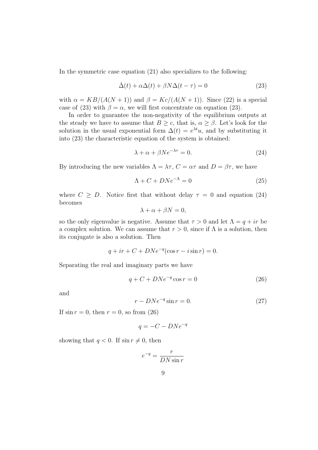In the symmetric case equation (21) also specializes to the following:

$$
\dot{\Delta}(t) + \alpha \Delta(t) + \beta N \Delta(t - \tau) = 0 \tag{23}
$$

with  $\alpha = KB/(A(N + 1))$  and  $\beta = Kc/(A(N + 1))$ . Since (22) is a special case of (23) with  $\beta = \alpha$ , we will first concentrate on equation (23).

In order to guarantee the non-negativity of the equilibrium outputs at the steady we have to assume that  $B \geq c$ , that is,  $\alpha \geq \beta$ . Let's look for the solution in the usual exponential form  $\Delta(t) = e^{\lambda t}u$ , and by substituting it into (23) the characteristic equation of the system is obtained:

$$
\lambda + \alpha + \beta N e^{-\lambda \tau} = 0. \tag{24}
$$

By introducing the new variables  $\Lambda = \lambda \tau$ ,  $C = \alpha \tau$  and  $D = \beta \tau$ , we have

$$
\Lambda + C + DNe^{-\Lambda} = 0 \tag{25}
$$

where  $C \geq D$ . Notice first that without delay  $\tau = 0$  and equation (24) becomes

$$
\lambda + \alpha + \beta N = 0,
$$

so the only eigenvalue is negative. Assume that  $\tau > 0$  and let  $\Lambda = q + ir$  be a complex solution. We can assume that  $r > 0$ , since if  $\Lambda$  is a solution, then its conjugate is also a solution. Then

$$
q + ir + C + DNe^{-q}(\cos r - i\sin r) = 0.
$$

Separating the real and imaginary parts we have

$$
q + C + DNe^{-q}\cos r = 0\tag{26}
$$

and

$$
r - DNe^{-q}\sin r = 0.\tag{27}
$$

If  $\sin r = 0$ , then  $r = 0$ , so from (26)

$$
q = -C - DNe^{-q}
$$

showing that  $q < 0$ . If  $\sin r \neq 0$ , then

$$
e^{-q} = \frac{r}{DN\sin r}
$$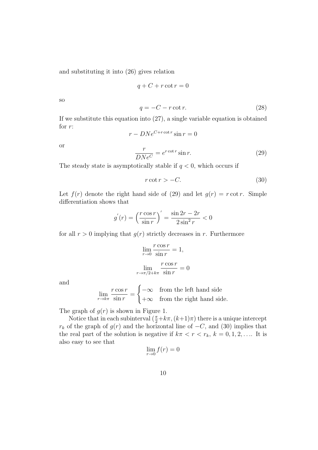and substituting it into (26) gives relation

$$
q + C + r \cot r = 0
$$

so

$$
q = -C - r \cot r. \tag{28}
$$

If we substitute this equation into (27), a single variable equation is obtained for r:

$$
r - DNe^{C + r \cot r} \sin r = 0
$$

or

$$
\frac{r}{DNe^C} = e^{r \cot r} \sin r.
$$
 (29)

The steady state is asymptotically stable if  $q < 0$ , which occurs if

$$
r \cot r > -C. \tag{30}
$$

Let  $f(r)$  denote the right hand side of (29) and let  $g(r) = r \cot r$ . Simple differentiation shows that

$$
g^{'}(r) = \left(\frac{r\cos r}{\sin r}\right)' = \frac{\sin 2r - 2r}{2\sin^2 r} < 0
$$

for all  $r > 0$  implying that  $g(r)$  strictly decreases in r. Furthermore

$$
\lim_{r \to 0} \frac{r \cos r}{\sin r} = 1,
$$

$$
\lim_{r \to \pi/2 + k\pi} \frac{r \cos r}{\sin r} = 0
$$

and

$$
\lim_{r \to k\pi} \frac{r \cos r}{\sin r} = \begin{cases} -\infty & \text{from the left hand side} \\ +\infty & \text{from the right hand side.} \end{cases}
$$

The graph of  $g(r)$  is shown in Figure 1.

Notice that in each subinterval  $(\frac{\pi}{2}+k\pi,(k+1)\pi)$  there is a unique intercept  $r_k$  of the graph of  $g(r)$  and the horizontal line of  $-C$ , and (30) implies that the real part of the solution is negative if  $k\pi < r < r_k$ ,  $k = 0, 1, 2, \ldots$  It is also easy to see that

$$
\lim_{r \to 0} f(r) = 0
$$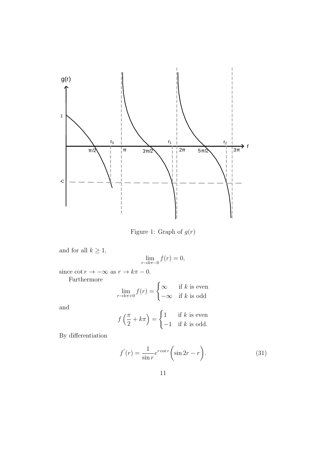

Figure 1: Graph of  $g(r)$ 

and for all 
$$
k \geq 1
$$
,

$$
\lim_{r \to k\pi - 0} f(r) = 0,
$$

since  $\cot r \to -\infty$  as  $r \to k\pi - 0$ .

Furthermore

$$
\lim_{r \to k\pi + 0} f(r) = \begin{cases} \infty & \text{if } k \text{ is even} \\ -\infty & \text{if } k \text{ is odd} \end{cases}
$$

and

$$
f\left(\frac{\pi}{2} + k\pi\right) = \begin{cases} 1 & \text{if } k \text{ is even} \\ -1 & \text{if } k \text{ is odd.} \end{cases}
$$

By differentiation

$$
f'(r) = \frac{1}{\sin r} e^{r \cot r} \left( \sin 2r - r \right).
$$
 (31)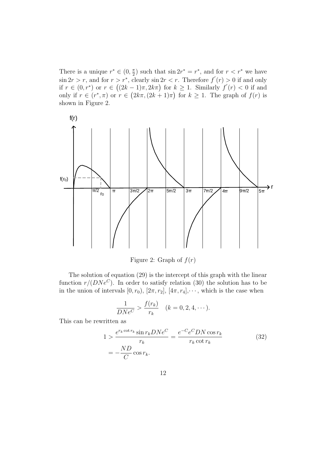There is a unique  $r^* \in (0, \frac{\pi}{2})$  such that  $\sin 2r^* = r^*$ , and for  $r < r^*$  we have  $\sin 2r > r$ , and for  $r > r^*$ , clearly  $\sin 2r < r$ . Therefore  $f'(r) > 0$  if and only if  $r \in (0, r^*)$  or  $r \in ((2k-1)\pi, 2k\pi)$  for  $k \ge 1$ . Similarly  $f'(r) < 0$  if and only if  $r \in (r^*, \pi)$  or  $r \in (2k\pi, (2k+1)\pi)$  for  $k \geq 1$ . The graph of  $f(r)$  is shown in Figure 2.



Figure 2: Graph of  $f(r)$ 

The solution of equation (29) is the intercept of this graph with the linear function  $r/(DNe^C)$ . In order to satisfy relation (30) the solution has to be in the union of intervals  $[0, r_0)$ ,  $[2\pi, r_2]$ ,  $[4\pi, r_4]$ ,  $\cdots$ , which is the case when

$$
\frac{1}{DNe^C} > \frac{f(r_k)}{r_k} \quad (k = 0, 2, 4, \dots).
$$

This can be rewritten as

$$
1 > \frac{e^{r_k \cot r_k} \sin r_k DNe^C}{r_k} = \frac{e^{-C} e^C D N \cos r_k}{r_k \cot r_k}
$$
(32)  
= 
$$
-\frac{ND}{C} \cos r_k.
$$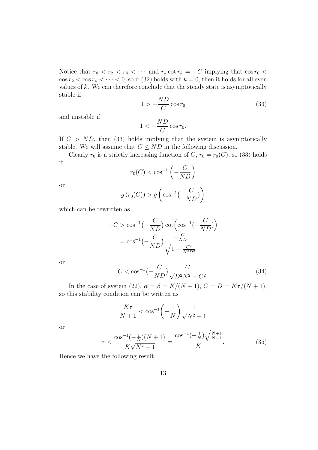Notice that  $r_0 < r_2 < r_4 < \cdots$  and  $r_k \cot r_k = -C$  implying that  $\cos r_0 <$  $\cos r_2 < \cos r_4 < \cdots < 0$ , so if (32) holds with  $k = 0$ , then it holds for all even values of  $k$ . We can therefore conclude that the steady state is asymptotically stable if

$$
1 > -\frac{ND}{C}\cos r_0\tag{33}
$$

and unstable if

$$
1 < -\frac{ND}{C} \cos r_0.
$$

If  $C > ND$ , then (33) holds implying that the system is asymptotically stable. We will assume that  $C \leq ND$  in the following discussion.

Clearly  $r_0$  is a strictly increasing function of C,  $r_0 = r_0(C)$ , so (33) holds if

$$
r_0(C) < \cos^{-1}\left(-\frac{C}{ND}\right)
$$

or

$$
g(r_0(C)) > g\left(\cos^{-1}\left(-\frac{C}{ND}\right)\right)
$$

which can be rewritten as

$$
-C > \cos^{-1}\left(-\frac{C}{ND}\right)\cot\left(\cos^{-1}\left(-\frac{C}{ND}\right)\right)
$$

$$
= \cos^{-1}\left(-\frac{C}{ND}\right)\frac{-\frac{C}{ND}}{\sqrt{1 - \frac{C^2}{N^2D^2}}}
$$

or

$$
C < \cos^{-1}\left(-\frac{C}{ND}\right) \frac{C}{\sqrt{D^2 N^2 - C^2}}.\tag{34}
$$

In the case of system (22),  $\alpha = \beta = K/(N+1)$ ,  $C = D = K\tau/(N+1)$ , so this stability condition can be written as

$$
\frac{K\tau}{N+1} < \cos^{-1}\left(-\frac{1}{N}\right)\frac{1}{\sqrt{N^2-1}}
$$

or

$$
\tau < \frac{\cos^{-1}\left(-\frac{1}{N}\right)(N+1)}{K\sqrt{N^2 - 1}} = \frac{\cos^{-1}\left(-\frac{1}{N}\right)\sqrt{\frac{N+1}{N-1}}}{K}.\tag{35}
$$

Hence we have the following result.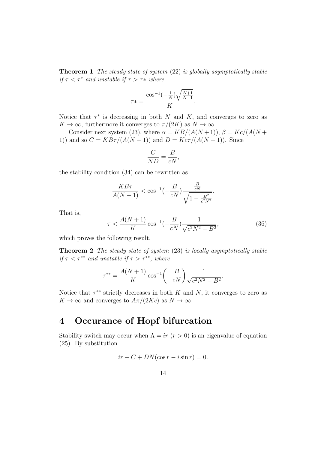**Theorem 1** The steady state of system  $(22)$  is globally asymptotically stable if  $\tau < \tau^*$  and unstable if  $\tau > \tau^*$  where

$$
\tau* = \frac{\cos^{-1}\left(-\frac{1}{N}\right)\sqrt{\frac{N+1}{N-1}}}{K}.
$$

Notice that  $\tau^*$  is decreasing in both N and K, and converges to zero as  $K \to \infty$ , furthermore it converges to  $\pi/(2K)$  as  $N \to \infty$ .

Consider next system (23), where  $\alpha = KB/(A(N+1)), \beta = Kc/(A(N+1))$ 1)) and so  $C = KB\tau/(A(N + 1))$  and  $D = Kc\tau/(A(N + 1))$ . Since

$$
\frac{C}{ND} = \frac{B}{cN},
$$

the stability condition (34) can be rewritten as

$$
\frac{KB\tau}{A(N+1)} < \cos^{-1}\left(-\frac{B}{cN}\right) \frac{\frac{B}{cN}}{\sqrt{1 - \frac{B^2}{c^2N^2}}}.
$$

That is,

$$
\tau < \frac{A(N+1)}{K} \cos^{-1}\left(-\frac{B}{cN}\right) \frac{1}{\sqrt{c^2 N^2 - B^2}},\tag{36}
$$

which proves the following result.

Theorem 2 The steady state of system (23) is locally asymptotically stable if  $\tau < \tau^{**}$  and unstable if  $\tau > \tau^{**}$ , where

$$
\tau^{**} = \frac{A(N+1)}{K} \cos^{-1} \left( -\frac{B}{cN} \right) \frac{1}{\sqrt{c^2 N^2 - B^2}}.
$$

Notice that  $\tau^{**}$  strictly decreases in both K and N, it converges to zero as  $K \to \infty$  and converges to  $A\pi/(2Kc)$  as  $N \to \infty$ .

# 4 Occurance of Hopf bifurcation

Stability switch may occur when  $\Lambda = ir (r > 0)$  is an eigenvalue of equation (25). By substitution

$$
ir + C + DN(\cos r - i\sin r) = 0.
$$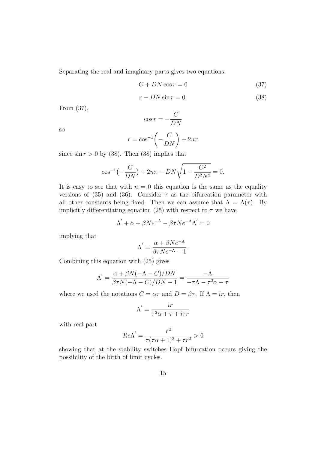Separating the real and imaginary parts gives two equations:

$$
C + DN \cos r = 0 \tag{37}
$$

$$
r - DN \sin r = 0. \tag{38}
$$

From (37),

so

$$
\cos r = -\frac{C}{DN}
$$

$$
r = \cos^{-1}\left(-\frac{C}{DN}\right) + 2n\pi
$$

since  $\sin r > 0$  by (38). Then (38) implies that

$$
\cos^{-1}\left(-\frac{C}{DN}\right) + 2n\pi - DN\sqrt{1 - \frac{C^2}{D^2N^2}} = 0.
$$

It is easy to see that with  $n = 0$  this equation is the same as the equality versions of (35) and (36). Consider  $\tau$  as the bifurcation parameter with all other constants being fixed. Then we can assume that  $\Lambda = \Lambda(\tau)$ . By implicitly differentiating equation (25) with respect to  $\tau$  we have

$$
\Lambda' + \alpha + \beta N e^{-\Lambda} - \beta \tau N e^{-\Lambda} \Lambda' = 0
$$

implying that

$$
\Lambda' = \frac{\alpha + \beta N e^{-\Lambda}}{\beta \tau N e^{-\Lambda} - 1}.
$$

Combining this equation with (25) gives

$$
\Lambda' = \frac{\alpha + \beta N(-\Lambda - C)/DN}{\beta \tau N(-\Lambda - C)/DN - 1} = \frac{-\Lambda}{-\tau \Lambda - \tau^2 \alpha - \tau}
$$

where we used the notations  $C = \alpha \tau$  and  $D = \beta \tau$ . If  $\Lambda = ir$ , then

$$
\Lambda^{'}=\frac{ir}{\tau^2\alpha+\tau+i\tau r}
$$

with real part

$$
Re\Lambda' = \frac{r^2}{\tau(\tau\alpha + 1)^2 + \tau r^2} > 0
$$

showing that at the stability switches Hopf bifurcation occurs giving the possibility of the birth of limit cycles.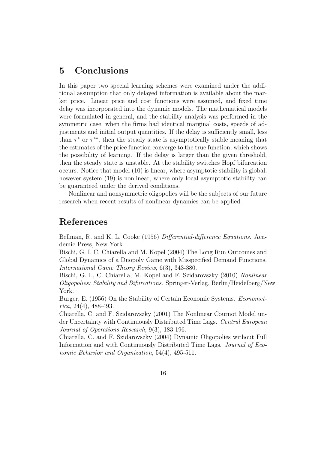## 5 Conclusions

In this paper two special learning schemes were examined under the additional assumption that only delayed information is available about the market price. Linear price and cost functions were assumed, and fixed time delay was incorporated into the dynamic models. The mathematical models were formulated in general, and the stability analysis was performed in the symmetric case, when the firms had identical marginal costs, speeds of adjustments and initial output quantities. If the delay is sufficiently small, less than  $\tau^*$  or  $\tau^{**}$ , then the steady state is asymptotically stable meaning that the estimates of the price function converge to the true function, which shows the possibility of learning. If the delay is larger than the given threshold, then the steady state is unstable. At the stability switches Hopf bifurcation occurs. Notice that model (10) is linear, where asymptotic stability is global, however system  $(19)$  is nonlinear, where only local asymptotic stability can be guaranteed under the derived conditions.

Nonlinear and nonsymmetric oligopolies will be the subjects of our future research when recent results of nonlinear dynamics can be applied.

### References

Bellman, R. and K. L. Cooke (1956) Differential-difference Equations. Academic Press, New York.

Bischi, G. I, C. Chiarella and M. Kopel (2004) The Long Run Outcomes and Global Dynamics of a Duopoly Game with Misspecified Demand Functions. International Game Theory Review, 6(3), 343-380.

Bischi, G. I., C. Chiarella, M. Kopel and F. Szidarovszky (2010) Nonlinear Oligopolies: Stability and Bifurcations. Springer-Verlag, Berlin/Heidelberg/New York.

Burger, E. (1956) On the Stability of Certain Economic Systems. *Economet*rica, 24(4), 488-493.

Chiarella, C. and F. Szidarovszky (2001) The Nonlinear Cournot Model under Uncertainty with Continuously Distributed Time Lags. Central European Journal of Operations Research, 9(3), 183-196.

Chiarella, C. and F. Szidarovszky (2004) Dynamic Oligopolies without Full Information and with Continuously Distributed Time Lags. Journal of Economic Behavior and Organization, 54(4), 495-511.